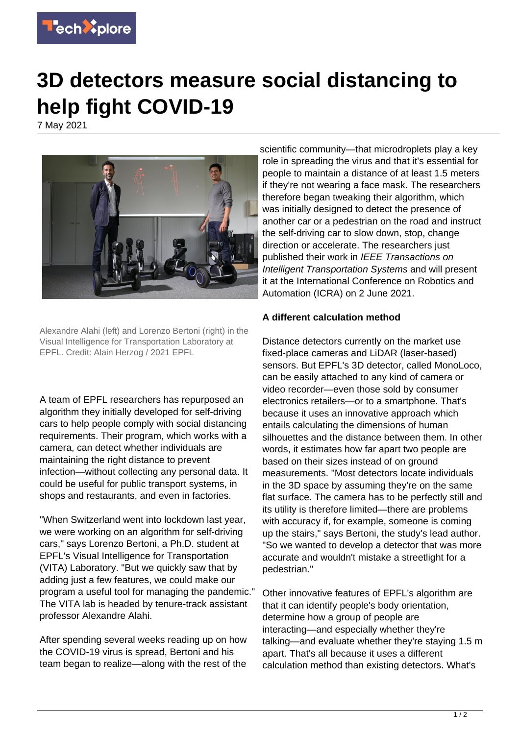

## **3D detectors measure social distancing to help fight COVID-19**

7 May 2021



Alexandre Alahi (left) and Lorenzo Bertoni (right) in the Visual Intelligence for Transportation Laboratory at EPFL. Credit: Alain Herzog / 2021 EPFL

A team of EPFL researchers has repurposed an algorithm they initially developed for self-driving cars to help people comply with social distancing requirements. Their program, which works with a camera, can detect whether individuals are maintaining the right distance to prevent infection—without collecting any personal data. It could be useful for public transport systems, in shops and restaurants, and even in factories.

"When Switzerland went into lockdown last year, we were working on an algorithm for self-driving cars," says Lorenzo Bertoni, a Ph.D. student at EPFL's Visual Intelligence for Transportation (VITA) Laboratory. "But we quickly saw that by adding just a few features, we could make our program a useful tool for managing the pandemic." The VITA lab is headed by tenure-track assistant professor Alexandre Alahi.

After spending several weeks reading up on how the COVID-19 virus is spread, Bertoni and his team began to realize—along with the rest of the scientific community—that microdroplets play a key role in spreading the virus and that it's essential for people to maintain a distance of at least 1.5 meters if they're not wearing a face mask. The researchers therefore began tweaking their algorithm, which was initially designed to detect the presence of another car or a pedestrian on the road and instruct the self-driving car to slow down, stop, change direction or accelerate. The researchers just published their work in IEEE Transactions on Intelligent Transportation Systems and will present it at the International Conference on Robotics and Automation (ICRA) on 2 June 2021.

## **A different calculation method**

Distance detectors currently on the market use fixed-place cameras and LiDAR (laser-based) sensors. But EPFL's 3D detector, called MonoLoco, can be easily attached to any kind of camera or video recorder—even those sold by consumer electronics retailers—or to a smartphone. That's because it uses an innovative approach which entails calculating the dimensions of human silhouettes and the distance between them. In other words, it estimates how far apart two people are based on their sizes instead of on ground measurements. "Most detectors locate individuals in the 3D space by assuming they're on the same flat surface. The camera has to be perfectly still and its utility is therefore limited—there are problems with accuracy if, for example, someone is coming up the stairs," says Bertoni, the study's lead author. "So we wanted to develop a detector that was more accurate and wouldn't mistake a streetlight for a pedestrian."

Other innovative features of EPFL's algorithm are that it can identify people's body orientation, determine how a group of people are interacting—and especially whether they're talking—and evaluate whether they're staying 1.5 m apart. That's all because it uses a different calculation method than existing detectors. What's